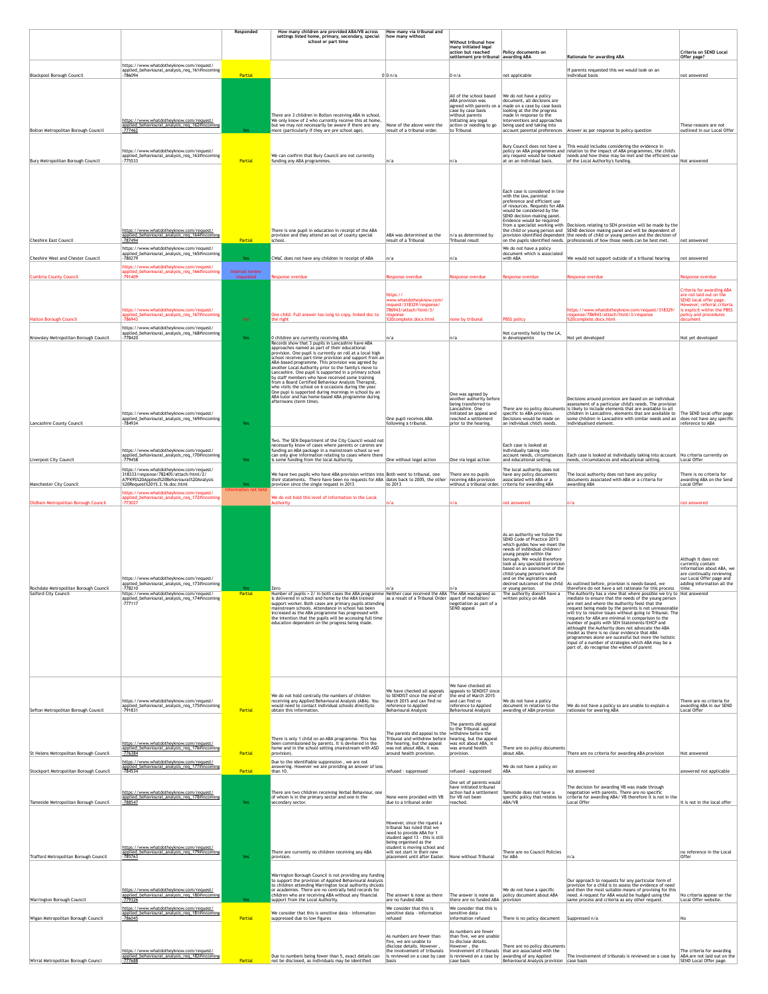|                                                                          |                                                                                                                                                                                                                | Responded                          | How many children are provided ABA/VB across<br>settings listed home, primary, secondary, special                                                                                                                                                                                                                                                                                                                                                                                                                                                                                                                                                           | How many via tribunal and<br>how many without                                                                                                                                                                                                       |                                                                                                                                                                                       |                                                                                                                                                                                                                                                                                                                                                                                                                                       |                                                                                                                                                                                                                                                                                                                                                                                                                                                                                                                                                                                                                                                                                                                                                                                          |                                                                                                                                                                                         |
|--------------------------------------------------------------------------|----------------------------------------------------------------------------------------------------------------------------------------------------------------------------------------------------------------|------------------------------------|-------------------------------------------------------------------------------------------------------------------------------------------------------------------------------------------------------------------------------------------------------------------------------------------------------------------------------------------------------------------------------------------------------------------------------------------------------------------------------------------------------------------------------------------------------------------------------------------------------------------------------------------------------------|-----------------------------------------------------------------------------------------------------------------------------------------------------------------------------------------------------------------------------------------------------|---------------------------------------------------------------------------------------------------------------------------------------------------------------------------------------|---------------------------------------------------------------------------------------------------------------------------------------------------------------------------------------------------------------------------------------------------------------------------------------------------------------------------------------------------------------------------------------------------------------------------------------|------------------------------------------------------------------------------------------------------------------------------------------------------------------------------------------------------------------------------------------------------------------------------------------------------------------------------------------------------------------------------------------------------------------------------------------------------------------------------------------------------------------------------------------------------------------------------------------------------------------------------------------------------------------------------------------------------------------------------------------------------------------------------------------|-----------------------------------------------------------------------------------------------------------------------------------------------------------------------------------------|
|                                                                          |                                                                                                                                                                                                                |                                    | school or part time                                                                                                                                                                                                                                                                                                                                                                                                                                                                                                                                                                                                                                         |                                                                                                                                                                                                                                                     | <b>Without tribunal how</b><br>many initiated legal<br>action but reached<br>settlement pre-tribunal awarding ABA                                                                     | Policy documents on                                                                                                                                                                                                                                                                                                                                                                                                                   | <b>Rationale for awarding ABA</b>                                                                                                                                                                                                                                                                                                                                                                                                                                                                                                                                                                                                                                                                                                                                                        | Criteria on SEND Local<br>Offer page?                                                                                                                                                   |
| <b>Blackpool Borough Council</b>                                         | https://www.whatdotheyknow.com/request/<br>applied_behavioural_analysis_req_161#incoming<br>-786094                                                                                                            | Partial                            |                                                                                                                                                                                                                                                                                                                                                                                                                                                                                                                                                                                                                                                             | $0 0 \rangle n/a$                                                                                                                                                                                                                                   | $ 0 \rangle n/a$                                                                                                                                                                      | not applicable                                                                                                                                                                                                                                                                                                                                                                                                                        | If parents requested this we would look on an<br>individual basis                                                                                                                                                                                                                                                                                                                                                                                                                                                                                                                                                                                                                                                                                                                        | not answered                                                                                                                                                                            |
|                                                                          | https://www.whatdotheyknow.com/request/                                                                                                                                                                        |                                    | There are 3 children in Bolton receiving ABA in school.<br>We only know of 2 who currently receive this at home,                                                                                                                                                                                                                                                                                                                                                                                                                                                                                                                                            |                                                                                                                                                                                                                                                     | All of the school based<br>ABA provision was<br>agreed with parents on a<br>case by case basis<br>without parents<br>initiating any legal                                             | We do not have a policy<br>document, all decisions are<br>made on a case by case basis<br>looking at the the progress<br>made in response to the<br>interventions and approaches                                                                                                                                                                                                                                                      |                                                                                                                                                                                                                                                                                                                                                                                                                                                                                                                                                                                                                                                                                                                                                                                          |                                                                                                                                                                                         |
| Bolton Metropolitan Borough Council                                      | applied_behavioural_analysis_req_162#incoming<br>$-777462$                                                                                                                                                     | Yes                                | but we may not necessarily be aware if there are any<br>more (particularly if they are pre school age).                                                                                                                                                                                                                                                                                                                                                                                                                                                                                                                                                     | None of the above were the<br>result of a tribunal order.                                                                                                                                                                                           | action or needing to go<br>to Tribunal                                                                                                                                                | being used and taking into                                                                                                                                                                                                                                                                                                                                                                                                            | account parental preferences   Answer as per response to policy question                                                                                                                                                                                                                                                                                                                                                                                                                                                                                                                                                                                                                                                                                                                 | These reasons are not<br>outlined in our Local Offer                                                                                                                                    |
| Bury Metropolitan Borough Council                                        | https://www.whatdotheyknow.com/request/<br>applied_behavioural_analysis_req_163#incoming<br>$-775533$                                                                                                          | Partial                            | We can confirm that Bury Council are not currently<br>funding any ABA programmes.                                                                                                                                                                                                                                                                                                                                                                                                                                                                                                                                                                           | ∣n∕a                                                                                                                                                                                                                                                | ∣n∕a                                                                                                                                                                                  | any request would be looked<br>at on an individual basis.                                                                                                                                                                                                                                                                                                                                                                             | Bury Council does not have a This would includes considering the evidence in<br>policy on ABA programmes and relation to the impact of ABA programmes, the child's<br>needs and how these may be met and the efficient use<br>of the Local Authority's funding.                                                                                                                                                                                                                                                                                                                                                                                                                                                                                                                          | Not answered                                                                                                                                                                            |
| <b>Cheshire East Council</b>                                             | https://www.whatdotheyknow.com/request/<br>applied_behavioural_analysis_req_164#incoming<br>-787494                                                                                                            | Partial                            | There is one pupil in education in receipt of the ABA<br>provision and they attend an out of county special<br>school.                                                                                                                                                                                                                                                                                                                                                                                                                                                                                                                                      | ABA was determined as the<br>result of a Tribunal                                                                                                                                                                                                   | n/a as determined by<br>Tribunal result                                                                                                                                               | Each case is considered in line<br>with the law, parental<br>preference and efficient use<br>of resources. Requests for ABA<br>would be considered by the<br>SEND decision-making panel.<br>Evidence would be required                                                                                                                                                                                                                | from a specialist working with Decisions relating to SEN provision will be made by the<br>the child or young person and SEND decision making panel and will be dependent of<br>provision identified dependent the needs of child or young person and the decision of<br>on the pupils identified needs. professionals of how those needs can be best met.                                                                                                                                                                                                                                                                                                                                                                                                                                | not answered                                                                                                                                                                            |
| <b>Cheshire West and Chester Council</b>                                 | https://www.whatdotheyknow.com/request/<br>applied_behavioural_analysis_req_165#incoming<br>-780279                                                                                                            | Yes:                               | CWaC does not have any children in receipt of ABA                                                                                                                                                                                                                                                                                                                                                                                                                                                                                                                                                                                                           | n/a                                                                                                                                                                                                                                                 | ∣n∕a                                                                                                                                                                                  | We do not have a policy<br>document which is associated<br>with ABA                                                                                                                                                                                                                                                                                                                                                                   | We would not support outside of a tribunal hearing                                                                                                                                                                                                                                                                                                                                                                                                                                                                                                                                                                                                                                                                                                                                       | not answered                                                                                                                                                                            |
| <b>Cumbria County Council</b>                                            | https://www.whatdotheyknow.com/request/<br>applied_behavioural_analysis_req_166#incoming<br>$-791409$                                                                                                          | Internal review<br>requested       | Response overdue                                                                                                                                                                                                                                                                                                                                                                                                                                                                                                                                                                                                                                            | <b>Response overdue</b>                                                                                                                                                                                                                             | Response overdue                                                                                                                                                                      | Response overdue                                                                                                                                                                                                                                                                                                                                                                                                                      | <b>Response overdue</b>                                                                                                                                                                                                                                                                                                                                                                                                                                                                                                                                                                                                                                                                                                                                                                  | <b>Response overdue</b>                                                                                                                                                                 |
| <b>Halton Borough Council</b>                                            | https://www.whatdotheyknow.com/request/<br>applied_behavioural_analysis_req_167#incoming<br>-786943                                                                                                            | <b>Yes</b>                         | One child. Full answer too long to copy, linked doc to<br>the right                                                                                                                                                                                                                                                                                                                                                                                                                                                                                                                                                                                         | https://<br>www.whatdotheyknow.com/<br>request/318329/response/<br>786943/attach/html/3/<br>response<br>%20complete.docx.html                                                                                                                       | none by tribunal                                                                                                                                                                      | <b>PBSS</b> policy                                                                                                                                                                                                                                                                                                                                                                                                                    | https://www.whatdotheyknow.com/request/318329/<br>response/786943/attach/html/3/response<br>%20complete.docx.html                                                                                                                                                                                                                                                                                                                                                                                                                                                                                                                                                                                                                                                                        | <b>Criteria for awarding ABA</b><br>are not laid out on the<br>SEND local offer page.<br>However; referral criteria<br>is explicit within the PBSS<br>policy and procedures<br>document |
| Knowsley Metropolitan Borough Council                                    | https://www.whatdotheyknow.com/request/<br>applied_behavioural_analysis_req_168#incoming<br>$-778420$                                                                                                          | Yes                                | 0 children are currently receiving ABA<br>Records show that 3 pupils in Lancashire have ABA                                                                                                                                                                                                                                                                                                                                                                                                                                                                                                                                                                 | n/a                                                                                                                                                                                                                                                 | n/a                                                                                                                                                                                   | Not currently held by the LA,<br>in developemtn                                                                                                                                                                                                                                                                                                                                                                                       | Not yet developed                                                                                                                                                                                                                                                                                                                                                                                                                                                                                                                                                                                                                                                                                                                                                                        | Not yet developed                                                                                                                                                                       |
| Lancashire County Council                                                | https://www.whatdotheyknow.com/request/<br>applied_behavioural_analysis_req_169#incoming<br>-784934                                                                                                            | Yes                                | approaches named as part of their educational<br>provision. One pupil is currently on roll at a local high<br>school receives part-time provision and support from an<br>ABA-based programme. This provision was agreed by<br>another Local Authority prior to the family's move to<br>Lancashire. One pupil is supported in a primary school<br>by staff members who have received some training<br>from a Board Certified Behaviour Analysis Therapist,<br>who visits the school on 6 occasions during the year.<br>One pupi is supported during mornings in school by an<br>ABA tutor and has home-based ABA programme during<br>afternoons (term time). | One pupil receives ABA<br>following a tribunal.                                                                                                                                                                                                     | One was agreed by<br>another authority before<br>being transferred to<br>Lancashire. One<br>initiated an appeal and<br>reached a settlement<br>prior to the hearing.                  | specific to ABA provision.<br>Decisions would be made on<br>an individual child's needs.                                                                                                                                                                                                                                                                                                                                              | Decisions around provision are based on an individual<br>assessment of a particular child's needs. The provision<br>There are no policy documents is likely to include elements that are available to all<br>children in Lancashire, elements that are available to $\vert$ The SEND local offer page<br>some children in Lancashire with similar needs and an<br>individualised element.                                                                                                                                                                                                                                                                                                                                                                                                | does not have any specific<br>reference to ABA                                                                                                                                          |
|                                                                          | https://www.whatdotheyknow.com/request/<br>applied_behavioural_analysis_req_170#incoming                                                                                                                       |                                    | Two. The SEN Department of the City Council would not<br>necessarily know of cases where parents or careres are<br>funding an ABA package in a mainstream school so we<br>can only give information relating to cases where there                                                                                                                                                                                                                                                                                                                                                                                                                           |                                                                                                                                                                                                                                                     |                                                                                                                                                                                       | Each case is looked at<br>individually taking into                                                                                                                                                                                                                                                                                                                                                                                    | account needs, circumstances   Each case is looked at individually taking into account                                                                                                                                                                                                                                                                                                                                                                                                                                                                                                                                                                                                                                                                                                   | No criteria currently on                                                                                                                                                                |
| Liverpool City Council                                                   | $-779458$<br>https://www.whatdotheyknow.com/request/<br>318333/response/782405/attach/html/2/                                                                                                                  | Yes                                | is some funding from the local Authority.<br>We have two pupils who have ABA provision written into Both went to tribunal, one                                                                                                                                                                                                                                                                                                                                                                                                                                                                                                                              | One without legal action                                                                                                                                                                                                                            | One via legal action<br>There are no pupils                                                                                                                                           | and educational setting.<br>The local authority does not<br>have any policy documents                                                                                                                                                                                                                                                                                                                                                 | needs, circumstances and educational setting.<br>The local authority does not have any policy                                                                                                                                                                                                                                                                                                                                                                                                                                                                                                                                                                                                                                                                                            | Local Offer<br>There is no criteria for                                                                                                                                                 |
| <b>Manchester City Council</b>                                           | A7FK9S%20Applied%20Behavioural%20Analysis<br>820Request%2015.3.16.doc.html<br>https://www.whatdotheyknow.com/request/<br>applied_behavioural_analysis_req_172#incoming                                         | <b>Yes</b><br>Information not held | their statements. There have been no requests for ABA dates back to 2005, the other<br>provision since the single request in 2013<br>We do not hold this level of information in the Local                                                                                                                                                                                                                                                                                                                                                                                                                                                                  | to 2013                                                                                                                                                                                                                                             | receving ABA provision<br>without a tribunal order.                                                                                                                                   | associated with ABA or a<br>criteria for awarding ABA                                                                                                                                                                                                                                                                                                                                                                                 | documents associated with ABA or a criteria for<br>awarding ABA                                                                                                                                                                                                                                                                                                                                                                                                                                                                                                                                                                                                                                                                                                                          | awarding ABA on the Send<br>Local Offer                                                                                                                                                 |
| Oldham Metropolitan Borough Council                                      | $-773027$                                                                                                                                                                                                      |                                    | Authority                                                                                                                                                                                                                                                                                                                                                                                                                                                                                                                                                                                                                                                   | n/a                                                                                                                                                                                                                                                 | n/a                                                                                                                                                                                   | not answered                                                                                                                                                                                                                                                                                                                                                                                                                          | n/a                                                                                                                                                                                                                                                                                                                                                                                                                                                                                                                                                                                                                                                                                                                                                                                      | not answered                                                                                                                                                                            |
| Rochdale Metropolitan Borough Council<br><b>Salford City Council</b>     | https://www.whatdotheyknow.com/request/<br>applied_behavioural_analysis_req_173#incoming<br>$-778210$<br>https://www.whatdotheyknow.com/request/<br>applied_behavioural_analysis_req_174#incoming<br>$-777117$ | Yes<br>Partial                     | <b>Zero</b><br>Number of pupils = 2/ In both cases the ABA programme Neither case received the ABA The ABA was agreed as<br>is delivered in school and home by the ABA trained<br>support worker. Both cases are primary pupils attending<br>mainstream schools. Attendance in school has been<br>increased as the ABA programme has progressed with<br>the intention that the pupils will be accessing full time<br>education dependent on the progress being made.                                                                                                                                                                                        | In/a<br>as a result of a Tribunal Order apart of mediation/                                                                                                                                                                                         | negotiation as part of a<br>SEND appeal                                                                                                                                               | As an authority we follow the<br>SEND Code of Practice 2015<br>which guides how we meet the<br>needs of indibidual children/<br>young people within the<br>borough. We would therefore<br>look at any specialist provision<br>based on an assessment of the<br>child/young person's needs<br>and on the aspirations and<br>desired outcomes of the child<br>or young person.<br>The authority doesn't have a<br>written policy on ABA | As outlined before, provision is needs-based, we<br>therefore do not have a set rationale for this process<br>The Authority has a view that where possible we try to Not answered<br>mediate to ensure that the needs of the young person<br>are met and where the Authority feesl that the<br>request being made by the parents is not unreasonable<br>will try to resolve issues without going to Tribunal. The<br>requests for ABA are minimal in comparison to the<br>number of pupils with SEN Statements/EHCP and<br>althought the Authority does not advocate the ABA<br>model as there is no clear evidence that ABA<br>programmes alone are sucessful but more the holistic<br>input of a number of strategies which ABA may be a<br>part of, do recognise the wishes of parent | Althugh it does not<br>currently contain<br>information about ABA, we<br>are continually reviewing<br>our Local Offer page and<br>adding information all the<br>time.                   |
| Sefton Metropolitan Borough Council                                      | https://www.whatdotheyknow.com/request/<br>applied_behavioural_analysis_req_175#incoming <br>$-791831$                                                                                                         | Partial                            | We do not hold centrally the numbers of children<br>receiving any Applied Behavioural Analysis (ABA). You<br>would need to contact individual schools directlyto<br>obtain this information.                                                                                                                                                                                                                                                                                                                                                                                                                                                                | We have checked all appeals<br>to SENDIST since the end of<br>March 2015 and can find no<br>reference to Applied<br>Behavioural Analysis                                                                                                            | We have checked all<br>appeals to SENDIST since<br>the end of March 2015<br>and can find no<br>reference to Applied<br>Behavioural Analysis<br>The parents did appeal                 | We do not have a policy<br>document in relation to the<br>awarding of ABA provision                                                                                                                                                                                                                                                                                                                                                   | We do not have a policy so are unable to explain a<br>rationale for awaring ABA                                                                                                                                                                                                                                                                                                                                                                                                                                                                                                                                                                                                                                                                                                          | There are no criteria for<br>awarding ABA in our SEND<br>Local Offer                                                                                                                    |
| St Helens Metropolitan Borough Council                                   | https://www.whatdotheyknow.com/request/<br>applied_behavioural_analysis_req_176#incoming<br>$-776384$<br>https://www.whatdotheyknow.com/request/                                                               | Partial                            | There is only 1 child on an ABA programme. This has<br>been commissioned by parents. It is devliered in the<br>home and in the school setting (mainstream with ASD<br>provision).<br>Due to the identifiable suppression, we are not                                                                                                                                                                                                                                                                                                                                                                                                                        | The parents did appeal to the<br>Tribunal and withdrew before<br>the hearing, but the appeal<br>was not about ABA, it was<br>around health provision.                                                                                               | to the Tribunal and<br>withdrew before the<br>hearing, but the appeal<br>was not about ABA, it<br>was around health<br>provision.                                                     | There are no policy documents<br>about ABA.                                                                                                                                                                                                                                                                                                                                                                                           | There are no criteria for awarding ABA provision                                                                                                                                                                                                                                                                                                                                                                                                                                                                                                                                                                                                                                                                                                                                         | Not answered                                                                                                                                                                            |
| Stockport Metropolitan Borough Council                                   | applied behavioural analysis req 177#incoming<br>$-784534$                                                                                                                                                     | Partial                            | answering. However we are providing an answer of less<br>than 10.                                                                                                                                                                                                                                                                                                                                                                                                                                                                                                                                                                                           | refused - suppressed                                                                                                                                                                                                                                | refused - suppressed<br>One set of parents would                                                                                                                                      | We do not have a policy on<br><b>ABA</b>                                                                                                                                                                                                                                                                                                                                                                                              | not answered                                                                                                                                                                                                                                                                                                                                                                                                                                                                                                                                                                                                                                                                                                                                                                             | answered not applicable                                                                                                                                                                 |
| Tameside Metropolitan Borough Council                                    | https://www.whatdotheyknow.com/request/<br>applied_behavioural_analysis_req_178#incoming<br>$-788547$                                                                                                          | Yes                                | There are two children receiving Verbal Behaviour, one<br>of whom is in the primary sector and one in the<br>secondary sector.                                                                                                                                                                                                                                                                                                                                                                                                                                                                                                                              | None were provided with VB<br>due to a tribunal order                                                                                                                                                                                               | have initiated tribunal<br>action had a settlement<br>for VB not been<br>reached.                                                                                                     | Tameside does not have a<br>specific policy that relates to<br>ABA/VB                                                                                                                                                                                                                                                                                                                                                                 | The decision for awarding VB was made through<br>negotiation with parents. There are no specific<br>criteria for awarding ABA/ VB therefore it is not in the<br>Local Offer                                                                                                                                                                                                                                                                                                                                                                                                                                                                                                                                                                                                              | It is not in the local offer                                                                                                                                                            |
| Trafford Metropolitan Borough Council                                    | https://www.whatdotheyknow.com/request/<br>applied_behavioural_analysis_req_179#incoming<br>$-785763$                                                                                                          | Yes                                | There are currently no children receiving any ABA<br>provision.                                                                                                                                                                                                                                                                                                                                                                                                                                                                                                                                                                                             | However, since the rquest a<br>tribunal has ruled that we<br>need to provide ABA for 1<br>student aged 13 - this is still<br>being organised as the<br>student is moving school and<br>will not start in their new<br>placement until after Easter. | None without Tribunal                                                                                                                                                                 | There are no Council Policies<br>for ABA                                                                                                                                                                                                                                                                                                                                                                                              | In/a                                                                                                                                                                                                                                                                                                                                                                                                                                                                                                                                                                                                                                                                                                                                                                                     | no reference in the Local<br>Offer                                                                                                                                                      |
| <b>Warrington Borough Council</b>                                        | https://www.whatdotheyknow.com/request/<br>applied behavioural analysis reg 180#incoming<br>$-779326$<br>https://www.whatdotheyknow.com/request/<br>applied behavioural analysis req 181#incoming              | Yes                                | Warrington Borough Council is not providing any funding<br>to support the provision of Applied Behavioural Analysis<br>to children attending Warrington local authority shcools<br>or academies. There are no centrally held records for<br>children who are receiving ABA without any financial<br>support from the Local Authority.<br>We consider that this is sensitive data - information                                                                                                                                                                                                                                                              | The answer is none as there<br>are no funded ABA<br>We consider that this is<br>sensitive data - information                                                                                                                                        | The answer is none as<br>there are no funded ABA<br>We consider that this is<br>sensitive data -                                                                                      | We do not have a specific<br>policy document about ABA<br>$ $ provision                                                                                                                                                                                                                                                                                                                                                               | Our approach to requests for any particular form of<br>provision for a child is to assess the evidence of need<br>and then the most suitable means of provising for this<br>need. A request for ABA would be hudged using the<br>same process and criteria as any other request                                                                                                                                                                                                                                                                                                                                                                                                                                                                                                          | No criteria appear on the<br>Local Offer website.                                                                                                                                       |
| Wigan Metropolitan Borough Council<br>Wirral Metropolitan Borough Counci | $-786045$<br>https://www.whatdotheyknow.com/request/<br>applied_behavioural_analysis_req_182#incoming<br>$-777688$                                                                                             | Partial<br>Partial                 | suppressed due to low figures<br>Due to numbers being fewer than 5, exact details can<br>not be disclosed, as individuals may be identified                                                                                                                                                                                                                                                                                                                                                                                                                                                                                                                 | refused<br>As numbers are fewer than<br>five, we are unable to<br>disclose details. However<br>the involvement of tribunals<br>is reviewed on a case by case<br>$\vert$ basis                                                                       | information refused<br>As numbers are fewer<br>than five, we are unable<br>to disclose details.<br>However, the<br>involvement of tribunals<br>is reviewed on a case by<br>case basis | There is no policy document<br>There are no policy documents<br>that are associated with the<br>awarding of any Applied<br>Behavioural Analysis provision   case basis                                                                                                                                                                                                                                                                | Suppressed n/a<br>The involvement of tribunals is reviewed on a case by                                                                                                                                                                                                                                                                                                                                                                                                                                                                                                                                                                                                                                                                                                                  | No<br>The criteria for awarding<br>ABA are not laid out on the<br>SEND Local Offer page.                                                                                                |